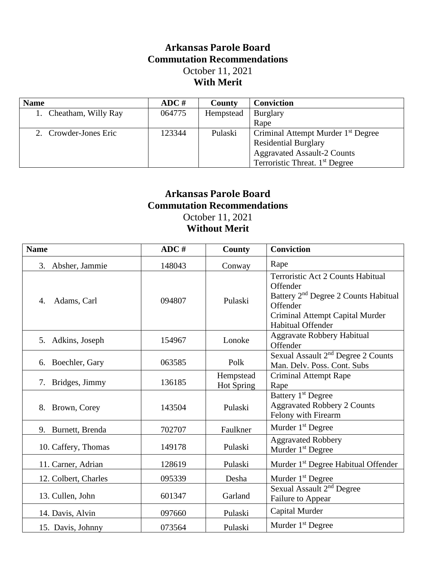## **Arkansas Parole Board Commutation Recommendations** October 11, 2021 **With Merit**

| <b>Name</b>            | ADC #  | <b>County</b> | <b>Conviction</b>                              |
|------------------------|--------|---------------|------------------------------------------------|
| 1. Cheatham, Willy Ray | 064775 | Hempstead     | <b>Burglary</b>                                |
|                        |        |               | Rape                                           |
| 2. Crowder-Jones Eric  | 123344 | Pulaski       | Criminal Attempt Murder 1 <sup>st</sup> Degree |
|                        |        |               | <b>Residential Burglary</b>                    |
|                        |        |               | <b>Aggravated Assault-2 Counts</b>             |
|                        |        |               | Terroristic Threat. 1 <sup>st</sup> Degree     |

## **Arkansas Parole Board Commutation Recommendations** October 11, 2021

**Without Merit**

| <b>Name</b>           | ADC #  | County                         | <b>Conviction</b>                                                                                                                                                            |
|-----------------------|--------|--------------------------------|------------------------------------------------------------------------------------------------------------------------------------------------------------------------------|
| Absher, Jammie<br>3.  | 148043 | Conway                         | Rape                                                                                                                                                                         |
| Adams, Carl<br>4.     | 094807 | Pulaski                        | Terroristic Act 2 Counts Habitual<br>Offender<br>Battery 2 <sup>nd</sup> Degree 2 Counts Habitual<br>Offender<br>Criminal Attempt Capital Murder<br><b>Habitual Offender</b> |
| 5. Adkins, Joseph     | 154967 | Lonoke                         | <b>Aggravate Robbery Habitual</b><br>Offender                                                                                                                                |
| 6. Boechler, Gary     | 063585 | Polk                           | Sexual Assault 2 <sup>nd</sup> Degree 2 Counts<br>Man. Delv. Poss. Cont. Subs                                                                                                |
| 7. Bridges, Jimmy     | 136185 | Hempstead<br><b>Hot Spring</b> | <b>Criminal Attempt Rape</b><br>Rape                                                                                                                                         |
| 8. Brown, Corey       | 143504 | Pulaski                        | Battery 1 <sup>st</sup> Degree<br><b>Aggravated Robbery 2 Counts</b><br>Felony with Firearm                                                                                  |
| Burnett, Brenda<br>9. | 702707 | Faulkner                       | Murder 1 <sup>st</sup> Degree                                                                                                                                                |
| 10. Caffery, Thomas   | 149178 | Pulaski                        | <b>Aggravated Robbery</b><br>Murder 1 <sup>st</sup> Degree                                                                                                                   |
| 11. Carner, Adrian    | 128619 | Pulaski                        | Murder 1 <sup>st</sup> Degree Habitual Offender                                                                                                                              |
| 12. Colbert, Charles  | 095339 | Desha                          | Murder 1 <sup>st</sup> Degree                                                                                                                                                |
| 13. Cullen, John      | 601347 | Garland                        | Sexual Assault 2 <sup>nd</sup> Degree<br>Failure to Appear                                                                                                                   |
| 14. Davis, Alvin      | 097660 | Pulaski                        | Capital Murder                                                                                                                                                               |
| 15. Davis, Johnny     | 073564 | Pulaski                        | Murder 1 <sup>st</sup> Degree                                                                                                                                                |